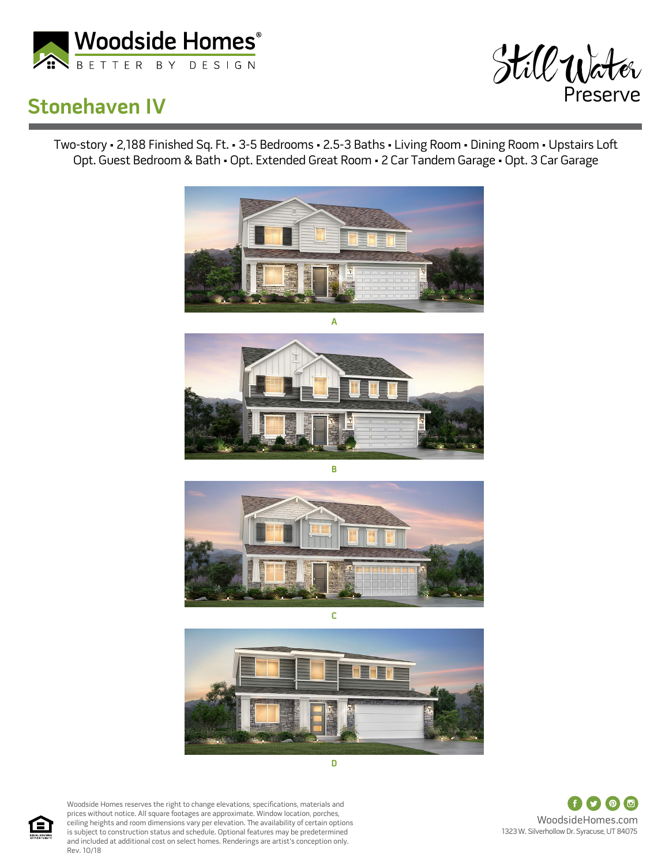

## **Stonehaven IV**



Two-story • 2,188 Finished Sq. Ft. • 3-5 Bedrooms • 2.5-3 Baths • Living Room • Dining Room • Upstairs Loft Opt. Guest Bedroom & Bath • Opt. Extended Great Room • 2 Car Tandem Garage • Opt. 3 Car Garage









Woodside Homes reserves the right to change elevations, specifications, materials and prices without notice. All square footages are approximate. Window location, porches, ceiling heights and room dimensions vary per elevation. The availability of certain options is subject to construction status and schedule. Optional features may be predetermined and included at additional cost on select homes. Renderings are artist's conception only. Rev. 10/18